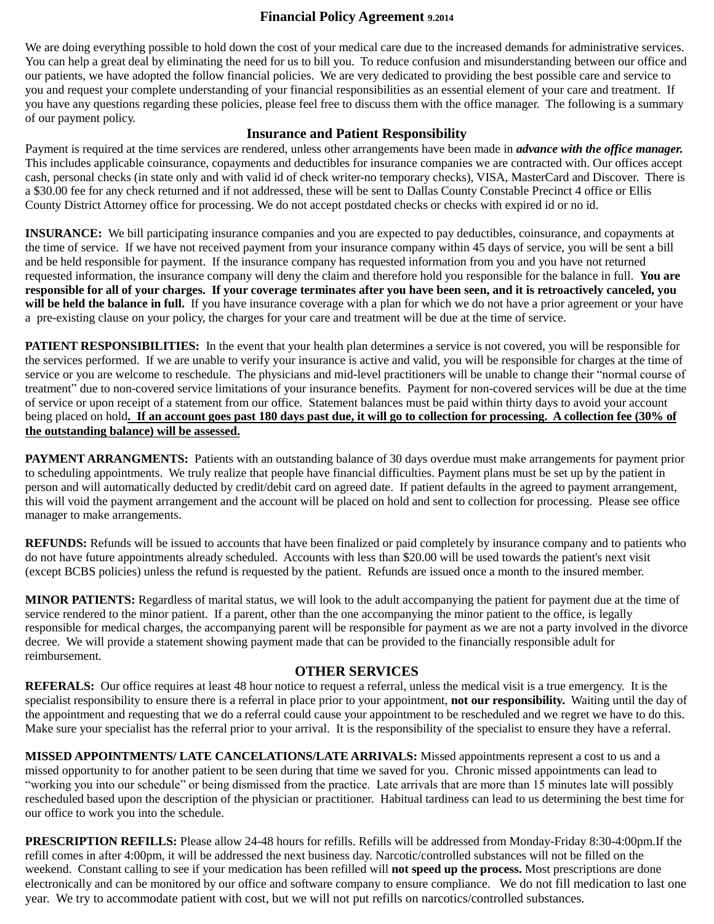### **Financial Policy Agreement 9.2014**

We are doing everything possible to hold down the cost of your medical care due to the increased demands for administrative services. You can help a great deal by eliminating the need for us to bill you. To reduce confusion and misunderstanding between our office and our patients, we have adopted the follow financial policies. We are very dedicated to providing the best possible care and service to you and request your complete understanding of your financial responsibilities as an essential element of your care and treatment. If you have any questions regarding these policies, please feel free to discuss them with the office manager. The following is a summary of our payment policy.

#### **Insurance and Patient Responsibility**

Payment is required at the time services are rendered, unless other arrangements have been made in *advance with the office manager.*  This includes applicable coinsurance, copayments and deductibles for insurance companies we are contracted with. Our offices accept cash, personal checks (in state only and with valid id of check writer-no temporary checks), VISA, MasterCard and Discover. There is a \$30.00 fee for any check returned and if not addressed, these will be sent to Dallas County Constable Precinct 4 office or Ellis County District Attorney office for processing. We do not accept postdated checks or checks with expired id or no id.

**INSURANCE:** We bill participating insurance companies and you are expected to pay deductibles, coinsurance, and copayments at the time of service. If we have not received payment from your insurance company within 45 days of service, you will be sent a bill and be held responsible for payment. If the insurance company has requested information from you and you have not returned requested information, the insurance company will deny the claim and therefore hold you responsible for the balance in full. **You are responsible for all of your charges. If your coverage terminates after you have been seen, and it is retroactively canceled, you will be held the balance in full.** If you have insurance coverage with a plan for which we do not have a prior agreement or your have a pre-existing clause on your policy, the charges for your care and treatment will be due at the time of service.

**PATIENT RESPONSIBILITIES:** In the event that your health plan determines a service is not covered, you will be responsible for the services performed. If we are unable to verify your insurance is active and valid, you will be responsible for charges at the time of service or you are welcome to reschedule. The physicians and mid-level practitioners will be unable to change their "normal course of treatment" due to non-covered service limitations of your insurance benefits. Payment for non-covered services will be due at the time of service or upon receipt of a statement from our office. Statement balances must be paid within thirty days to avoid your account being placed on hold**. If an account goes past 180 days past due, it will go to collection for processing. A collection fee (30% of the outstanding balance) will be assessed.**

**PAYMENT ARRANGMENTS:** Patients with an outstanding balance of 30 days overdue must make arrangements for payment prior to scheduling appointments. We truly realize that people have financial difficulties. Payment plans must be set up by the patient in person and will automatically deducted by credit/debit card on agreed date. If patient defaults in the agreed to payment arrangement, this will void the payment arrangement and the account will be placed on hold and sent to collection for processing. Please see office manager to make arrangements.

**REFUNDS:** Refunds will be issued to accounts that have been finalized or paid completely by insurance company and to patients who do not have future appointments already scheduled. Accounts with less than \$20.00 will be used towards the patient's next visit (except BCBS policies) unless the refund is requested by the patient. Refunds are issued once a month to the insured member.

**MINOR PATIENTS:** Regardless of marital status, we will look to the adult accompanying the patient for payment due at the time of service rendered to the minor patient. If a parent, other than the one accompanying the minor patient to the office, is legally responsible for medical charges, the accompanying parent will be responsible for payment as we are not a party involved in the divorce decree. We will provide a statement showing payment made that can be provided to the financially responsible adult for reimbursement.

#### **OTHER SERVICES**

**REFERALS:** Our office requires at least 48 hour notice to request a referral, unless the medical visit is a true emergency. It is the specialist responsibility to ensure there is a referral in place prior to your appointment, **not our responsibility.** Waiting until the day of the appointment and requesting that we do a referral could cause your appointment to be rescheduled and we regret we have to do this. Make sure your specialist has the referral prior to your arrival. It is the responsibility of the specialist to ensure they have a referral.

**MISSED APPOINTMENTS/ LATE CANCELATIONS/LATE ARRIVALS:** Missed appointments represent a cost to us and a missed opportunity to for another patient to be seen during that time we saved for you. Chronic missed appointments can lead to "working you into our schedule" or being dismissed from the practice. Late arrivals that are more than 15 minutes late will possibly rescheduled based upon the description of the physician or practitioner. Habitual tardiness can lead to us determining the best time for our office to work you into the schedule.

**PRESCRIPTION REFILLS:** Please allow 24-48 hours for refills. Refills will be addressed from Monday-Friday 8:30-4:00pm.If the refill comes in after 4:00pm, it will be addressed the next business day. Narcotic/controlled substances will not be filled on the weekend. Constant calling to see if your medication has been refilled will **not speed up the process.** Most prescriptions are done electronically and can be monitored by our office and software company to ensure compliance. We do not fill medication to last one year. We try to accommodate patient with cost, but we will not put refills on narcotics/controlled substances.